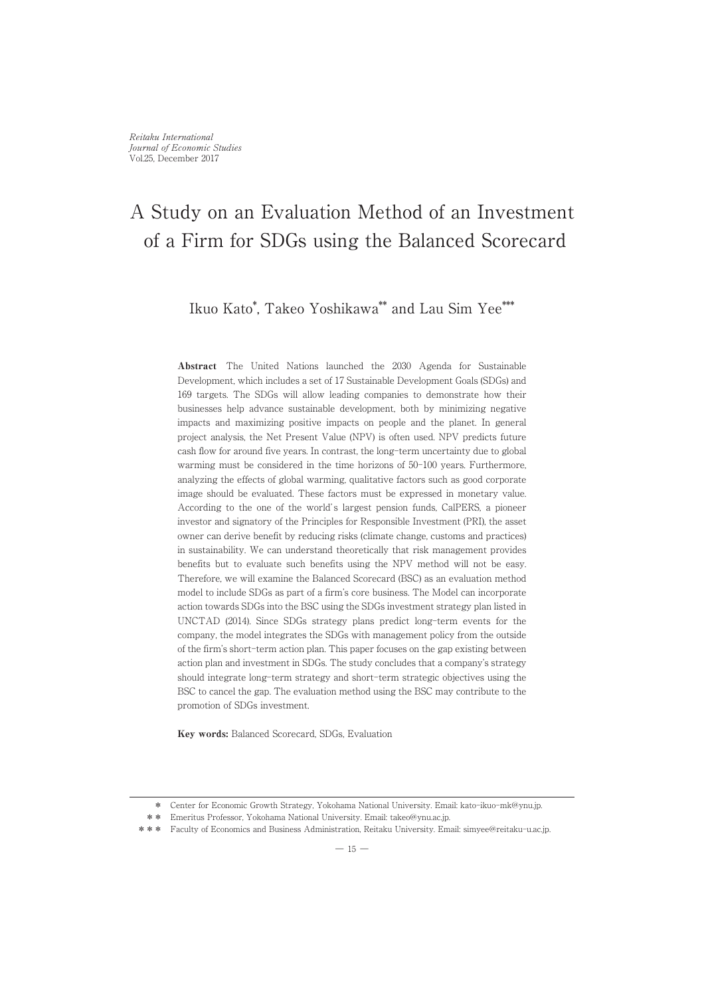Ikuo Kato\* ,Takeo Yoshikawa\*\* and Lau Sim Yee\*\*\*

Abstract The United Nations launched the 2030 Agenda for Sustainable Development, which includes a set of 17 Sustainable Development Goals (SDGs) and 169 targets. The SDGs will allow leading companies to demonstrate how their businesses help advance sustainable development, both by minimizing negative impacts and maximizing positive impacts on people and the planet. In general project analysis, the Net Present Value (NPV) is often used. NPV predicts future cash flow for around five years. In contrast, the long-term uncertainty due to global warming must be considered in the time horizons of 50-100 years. Furthermore, analyzing the effects of global warming, qualitative factors such as good corporate image should be evaluated. These factors must be expressed in monetary value. According to the one of the world's largest pension funds, CalPERS, a pioneer investor and signatory of the Principles for Responsible Investment (PRI), the asset owner can derive benefit by reducing risks (climate change, customs and practices) in sustainability. We can understand theoretically that risk management provides benefits but to evaluate such benefits using the NPV method will not be easy. Therefore, we will examine the Balanced Scorecard (BSC) as an evaluation method model to include SDGs as part of a firm's core business. The Model can incorporate action towards SDGs into the BSC using the SDGs investment strategy plan listed in UNCTAD (2014). Since SDGs strategy plans predict long-term events for the company, the model integrates the SDGs with management policy from the outside of the firm's short-term action plan. This paper focuses on the gap existing between action plan and investment in SDGs. The study concludes that a company's strategy should integrate long-term strategy and short-term strategic objectives using the BSC to cancel the gap. The evaluation method using the BSC may contribute to the promotion of SDGs investment.

Key words: Balanced Scorecard, SDGs, Evaluation

\* Center for Economic Growth Strategy, Yokohama National University. Email: kato-ikuo-mk@ynu.jp.

<sup>\*\*</sup> Emeritus Professor, Yokohama National University. Email: takeo@ynu.ac.jp.

<sup>\*\*\*</sup> Faculty of Economics and Business Administration, Reitaku University. Email: simyee@reitaku-u.ac.jp.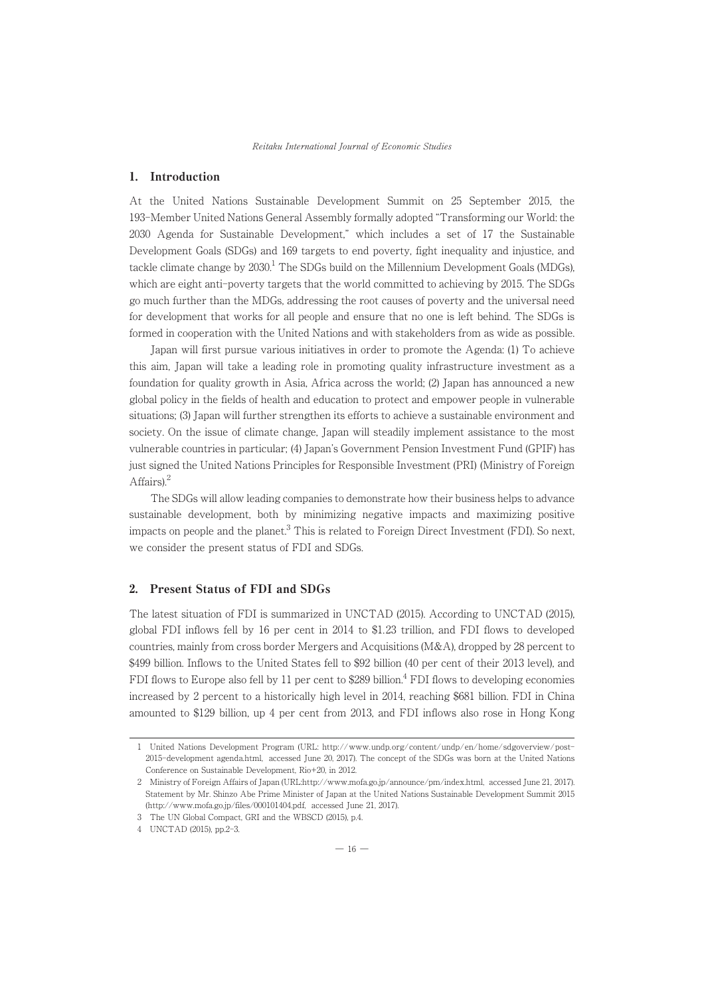Reitaku International Journal of Economic Studies

# 1. Introduction

At the United Nations Sustainable Development Summit on 25 September 2015, the 193-Member United Nations General Assembly formally adopted "Transforming our World: the 2030 Agenda for Sustainable Development," which includes a set of 17 the Sustainable Development Goals (SDGs) and 169 targets to end poverty, fight inequality and injustice, and tackle climate change by  $2030<sup>1</sup>$  The SDGs build on the Millennium Development Goals (MDGs), which are eight anti-poverty targets that the world committed to achieving by 2015. The SDGs go much further than the MDGs, addressing the root causes of poverty and the universal need for development that works for all people and ensure that no one is left behind. The SDGs is formed in cooperation with the United Nations and with stakeholders from as wide as possible.

Japan will first pursue various initiatives in order to promote the Agenda: (1) To achieve this aim, Japan will take a leading role in promoting quality infrastructure investment as a foundation for quality growth in Asia, Africa across the world; (2) Japan has announced a new global policy in the fields of health and education to protect and empower people in vulnerable situations; (3) Japan will further strengthen its efforts to achieve a sustainable environment and society. On the issue of climate change, Japan will steadily implement assistance to the most vulnerable countries in particular; (4) Japan's Government Pension Investment Fund (GPIF) has just signed the United Nations Principles for Responsible Investment (PRI) (Ministry of Foreign Affairs).<sup>2</sup>

The SDGs will allow leading companies to demonstrate how their business helps to advance sustainable development, both by minimizing negative impacts and maximizing positive impacts on people and the planet. $3$  This is related to Foreign Direct Investment (FDI). So next, we consider the present status of FDI and SDGs.

# 2. Present Status of FDI and SDGs

The latest situation of FDI is summarized in UNCTAD (2015). According to UNCTAD (2015), global FDI inflows fell by 16 per cent in 2014 to \$1. 23 trillion, and FDI flows to developed countries, mainly from cross border Mergers and Acquisitions (M&A), dropped by 28 percent to \$499 billion. Inflows to the United States fell to \$92 billion (40 per cent of their 2013 level), and FDI flows to Europe also fell by 11 per cent to \$289 billion.<sup>4</sup> FDI flows to developing economies increased by 2 percent to a historically high level in 2014, reaching \$681 billion. FDI in China amounted to \$129 billion, up 4 per cent from 2013, and FDI inflows also rose in Hong Kong

<sup>1</sup>United Nations Development Program (URL: http://www.undp.org/content/undp/en/home/sdgoverview/post-2015-development agenda.html, accessed June 20, 2017). The concept of the SDGs was born at the United Nations Conference on Sustainable Development, Rio+20, in 2012.

<sup>2</sup> Ministry of Foreign Affairs of Japan (URL:http://www.mofa.go.jp/announce/pm/index.html, accessed June 21, 2017). Statement by Mr. Shinzo Abe Prime Minister of Japan at the United Nations Sustainable Development Summit 2015 (http://www.mofa.go.jp/files/000101404.pdf, accessed June 21, 2017).

<sup>3</sup> The UN Global Compact, GRI and the WBSCD (2015), p.4.

<sup>4</sup> UNCTAD (2015), pp.2-3.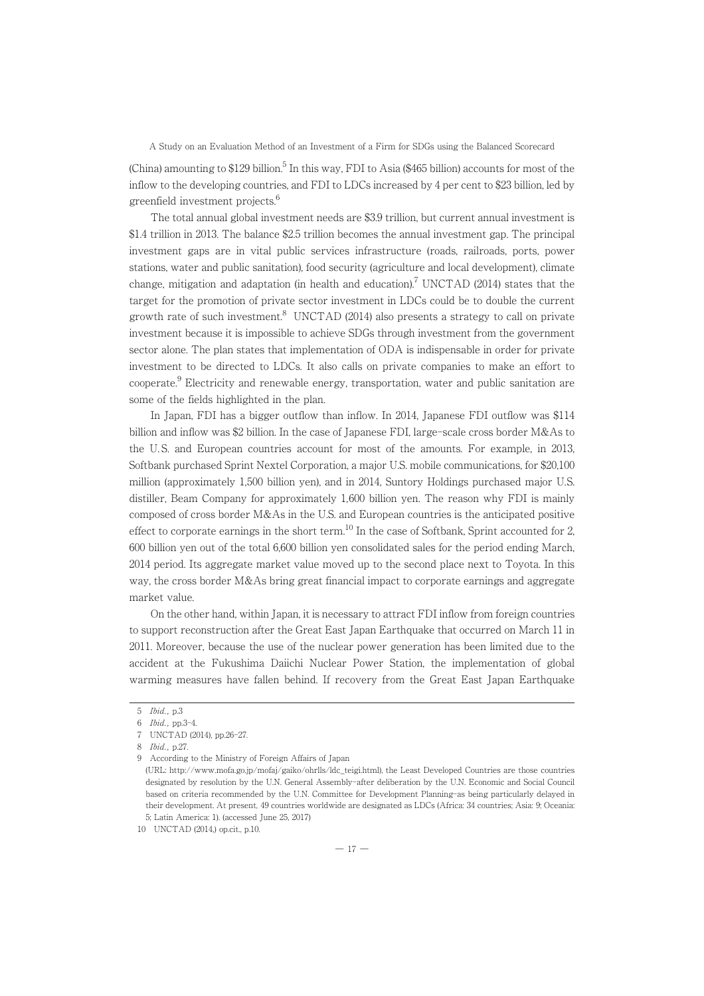(China) amounting to \$129 billion.<sup>5</sup> In this way, FDI to Asia (\$465 billion) accounts for most of the inflow to the developing countries, and FDI to LDCs increased by 4 per cent to \$23 billion, led by greenfield investment projects.<sup>6</sup>

The total annual global investment needs are \$3.9 trillion, but current annual investment is \$1.4 trillion in 2013. The balance \$2.5 trillion becomes the annual investment gap. The principal investment gaps are in vital public services infrastructure (roads, railroads, ports, power stations, water and public sanitation), food security (agriculture and local development), climate change, mitigation and adaptation (in health and education).<sup>7</sup> UNCTAD (2014) states that the target for the promotion of private sector investment in LDCs could be to double the current growth rate of such investment.<sup>8</sup> UNCTAD (2014) also presents a strategy to call on private investment because it is impossible to achieve SDGs through investment from the government sector alone. The plan states that implementation of ODA is indispensable in order for private investment to be directed to LDCs. It also calls on private companies to make an effort to cooperate.<sup>9</sup> Electricity and renewable energy, transportation, water and public sanitation are some of the fields highlighted in the plan.

In Japan, FDI has a bigger outflow than inflow. In 2014, Japanese FDI outflow was \$114 billion and inflow was \$2 billion. In the case of Japanese FDI, large-scale cross border M&As to the U. S. and European countries account for most of the amounts. For example, in 2013, Softbank purchased Sprint Nextel Corporation, a major U.S. mobile communications, for \$20,100 million (approximately 1,500 billion yen), and in 2014, Suntory Holdings purchased major U.S. distiller, Beam Company for approximately 1,600 billion yen. The reason why FDI is mainly composed of cross border M&As in the U.S. and European countries is the anticipated positive effect to corporate earnings in the short term.<sup>10</sup> In the case of Softbank, Sprint accounted for 2. 600 billion yen out of the total 6,600 billion yen consolidated sales for the period ending March, 2014 period. Its aggregate market value moved up to the second place next to Toyota. In this way, the cross border M&As bring great financial impact to corporate earnings and aggregate market value.

On the other hand, within Japan, it is necessary to attract FDI inflow from foreign countries to support reconstruction after the Great East Japan Earthquake that occurred on March 11 in 2011. Moreover, because the use of the nuclear power generation has been limited due to the accident at the Fukushima Daiichi Nuclear Power Station, the implementation of global warming measures have fallen behind. If recovery from the Great East Japan Earthquake

<sup>5</sup> Ibid., p.3

<sup>6</sup> Ibid., pp.3-4.

<sup>7</sup> UNCTAD (2014), pp.26-27.

<sup>8</sup> *Ibid.* p.27.

<sup>9</sup> According to the Ministry of Foreign Affairs of Japan

<sup>(</sup>URL: http://www.mofa.go.jp/mofaj/gaiko/ohrlls/ldc\_teigi.html), the Least Developed Countries are those countries designated by resolution by the U.N. General Assembly-after deliberation by the U.N. Economic and Social Council based on criteria recommended by the U.N. Committee for Development Planning-as being particularly delayed in their development. At present, 49 countries worldwide are designated as LDCs (Africa: 34 countries; Asia: 9; Oceania: 5; Latin America: 1). (accessed June 25, 2017)

<sup>10</sup> UNCTAD (2014,) op.cit., p.10.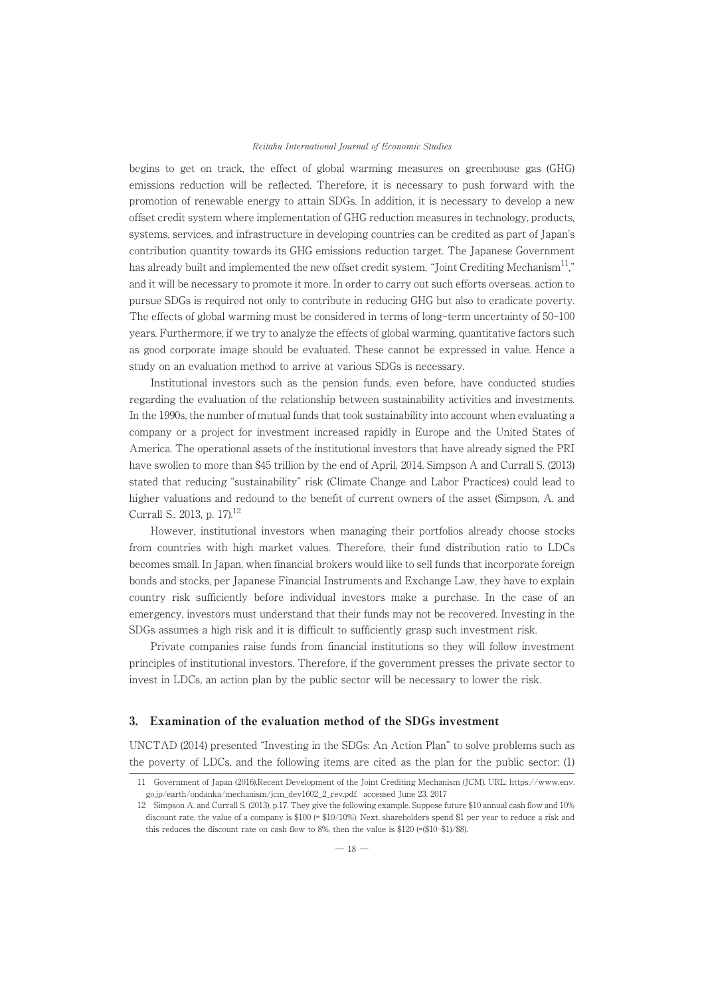## Reitaku International Journal of Economic Studies

begins to get on track, the effect of global warming measures on greenhouse gas (GHG) emissions reduction will be reflected. Therefore, it is necessary to push forward with the promotion of renewable energy to attain SDGs. In addition, it is necessary to develop a new offset credit system where implementation of GHG reduction measures in technology, products, systems, services, and infrastructure in developing countries can be credited as part of Japan's contribution quantity towards its GHG emissions reduction target. The Japanese Government has already built and implemented the new offset credit system, "Joint Crediting Mechanism<sup>11</sup>," and it will be necessary to promote it more. In order to carry out such efforts overseas, action to pursue SDGs is required not only to contribute in reducing GHG but also to eradicate poverty. The effects of global warming must be considered in terms of long-term uncertainty of 50-100 years. Furthermore, if we try to analyze the effects of global warming, quantitative factors such as good corporate image should be evaluated. These cannot be expressed in value. Hence a study on an evaluation method to arrive at various SDGs is necessary.

Institutional investors such as the pension funds, even before, have conducted studies regarding the evaluation of the relationship between sustainability activities and investments. In the 1990s, the number of mutual funds that took sustainability into account when evaluating a company or a project for investment increased rapidly in Europe and the United States of America. The operational assets of the institutional investors that have already signed the PRI have swollen to more than \$45 trillion by the end of April, 2014. Simpson A and Currall S. (2013) stated that reducing "sustainability" risk (Climate Change and Labor Practices) could lead to higher valuations and redound to the benefit of current owners of the asset (Simpson, A. and Currall S., 2013, p. 17).<sup>12</sup>

However, institutional investors when managing their portfolios already choose stocks from countries with high market values. Therefore, their fund distribution ratio to LDCs becomes small. In Japan, when financial brokers would like to sell funds that incorporate foreign bonds and stocks, per Japanese Financial Instruments and Exchange Law, they have to explain country risk sufficiently before individual investors make a purchase. In the case of an emergency, investors must understand that their funds may not be recovered. Investing in the SDGs assumes a high risk and it is difficult to sufficiently grasp such investment risk.

Private companies raise funds from financial institutions so they will follow investment principles of institutional investors. Therefore, if the government presses the private sector to invest in LDCs, an action plan by the public sector will be necessary to lower the risk.

# 3. Examination of the evaluation method of the SDGs investment

UNCTAD (2014) presented "Investing in the SDGs: An Action Plan" to solve problems such as the poverty of LDCs, and the following items are cited as the plan for the public sector: (1)

<sup>11</sup> Government of Japan (2016),Recent Development of the Joint Crediting Mechanism (JCM). URL: https://www.env. go.jp/earth/ondanka/mechanism/jcm\_dev1602\_2\_rev.pdf, accessed June 23, 2017

<sup>12</sup> Simpson A. and Currall S. (2013), p.17. They give the following example. Suppose future \$10 annual cash flow and 10% discount rate, the value of a company is \$100 (= \$10/10%). Next, shareholders spend \$1 per year to reduce a risk and this reduces the discount rate on cash flow to 8%, then the value is \$120 (=(\$10-\$1)/\$8).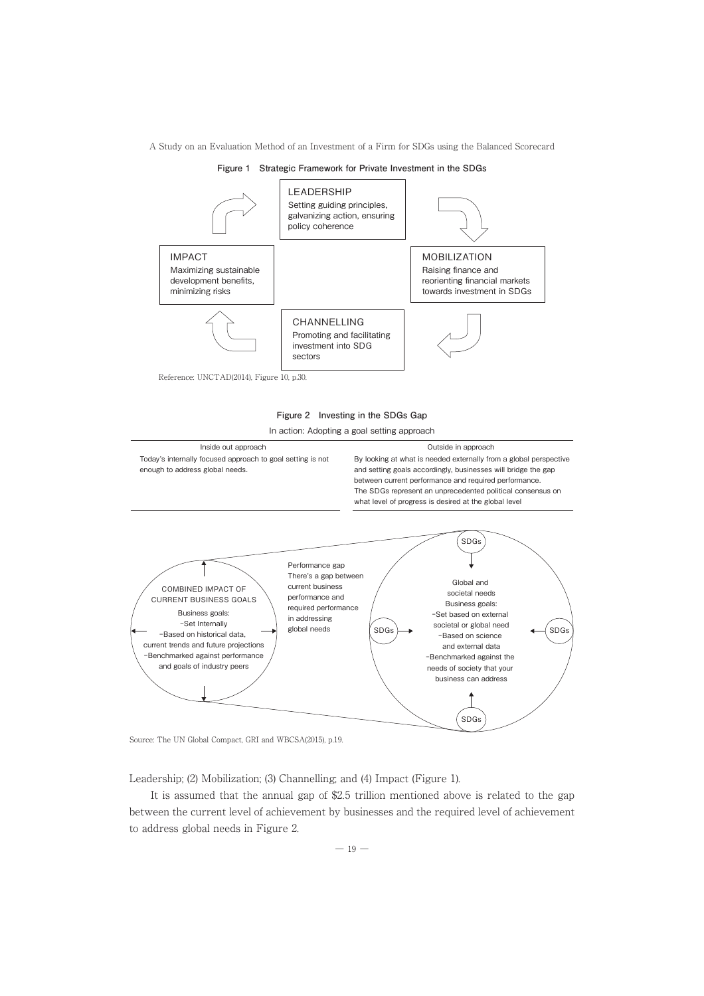



Reference: UNCTAD(2014), Figure 10, p.30.



In action: Adopting a goal setting approach



Source: The UN Global Compact, GRI and WBCSA(2015), p.19.

Leadership; (2) Mobilization; (3) Channelling; and (4) Impact (Figure 1).

It is assumed that the annual gap of \$2.5 trillion mentioned above is related to the gap between the current level of achievement by businesses and the required level of achievement to address global needs in Figure 2.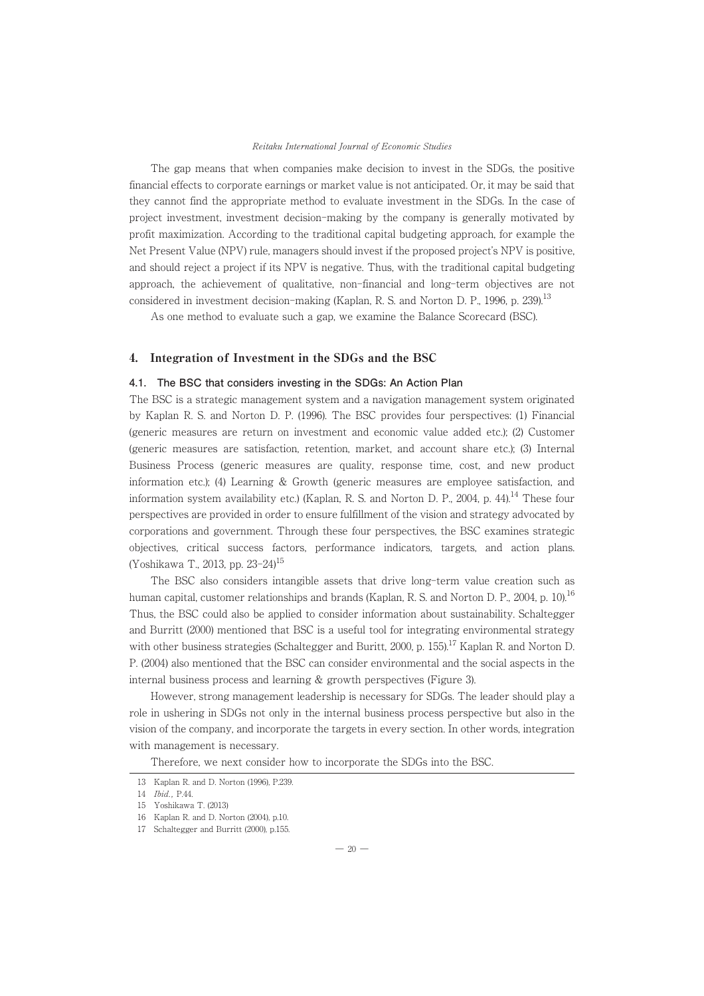## Reitaku International Journal of Economic Studies

The gap means that when companies make decision to invest in the SDGs, the positive financial effects to corporate earnings or market value is not anticipated. Or, it may be said that they cannot find the appropriate method to evaluate investment in the SDGs. In the case of project investment, investment decision-making by the company is generally motivated by profit maximization. According to the traditional capital budgeting approach, for example the Net Present Value (NPV) rule, managers should invest if the proposed project's NPV is positive, and should reject a project if its NPV is negative. Thus, with the traditional capital budgeting approach, the achievement of qualitative, non-financial and long-term objectives are not considered in investment decision-making (Kaplan, R. S. and Norton D. P., 1996, p. 239).<sup>13</sup>

As one method to evaluate such a gap, we examine the Balance Scorecard (BSC).

# 4. Integration of Investment in the SDGs and the BSC

# **4.1. The BSC that considers investing in the SDGs: An Action Plan**

The BSC is a strategic management system and a navigation management system originated by Kaplan R. S. and Norton D. P. (1996). The BSC provides four perspectives: (1) Financial (generic measures are return on investment and economic value added etc.); (2) Customer (generic measures are satisfaction, retention, market, and account share etc.); (3) Internal Business Process (generic measures are quality, response time, cost, and new product information etc.); (4) Learning & Growth (generic measures are employee satisfaction, and information system availability etc.) (Kaplan, R. S. and Norton D. P., 2004, p. 44).<sup>14</sup> These four perspectives are provided in order to ensure fulfillment of the vision and strategy advocated by corporations and government. Through these four perspectives, the BSC examines strategic objectives, critical success factors, performance indicators, targets, and action plans. (Yoshikawa T., 2013, pp. 23-24)15

The BSC also considers intangible assets that drive long-term value creation such as human capital, customer relationships and brands (Kaplan, R. S. and Norton D. P., 2004, p. 10).<sup>16</sup> Thus, the BSC could also be applied to consider information about sustainability. Schaltegger and Burritt (2000) mentioned that BSC is a useful tool for integrating environmental strategy with other business strategies (Schaltegger and Buritt, 2000, p. 155).<sup>17</sup> Kaplan R. and Norton D. P. (2004) also mentioned that the BSC can consider environmental and the social aspects in the internal business process and learning & growth perspectives (Figure 3).

However, strong management leadership is necessary for SDGs. The leader should play a role in ushering in SDGs not only in the internal business process perspective but also in the vision of the company, and incorporate the targets in every section. In other words, integration with management is necessary.

Therefore, we next consider how to incorporate the SDGs into the BSC.

 $-20-$ 

<sup>13</sup> Kaplan R. and D. Norton (1996), P.239.

<sup>14</sup> Ibid., P.44.

<sup>15</sup> Yoshikawa T. (2013)

<sup>16</sup> Kaplan R. and D. Norton (2004), p.10.

<sup>17</sup> Schaltegger and Burritt (2000), p.155.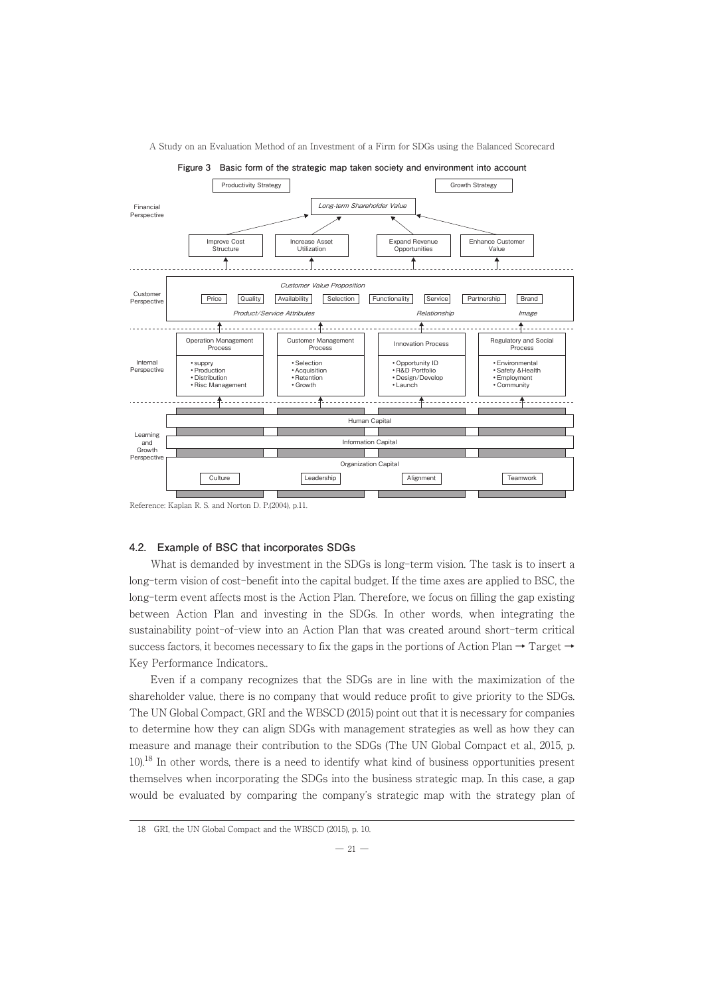

#### Reference: Kaplan R. S. and Norton D. P.(2004), p.11.

# 4.2. Example of BSC that incorporates SDGs

What is demanded by investment in the SDGs is long-term vision. The task is to insert a long-term vision of cost-benefit into the capital budget. If the time axes are applied to BSC, the long-term event affects most is the Action Plan. Therefore, we focus on filling the gap existing between Action Plan and investing in the SDGs. In other words, when integrating the sustainability point-of-view into an Action Plan that was created around short-term critical success factors, it becomes necessary to fix the gaps in the portions of Action Plan  $\rightarrow$  Target  $\rightarrow$ Key Performance Indicators..

Even if a company recognizes that the SDGs are in line with the maximization of the shareholder value, there is no company that would reduce profit to give priority to the SDGs. The UN Global Compact, GRI and the WBSCD (2015) point out that it is necessary for companies to determine how they can align SDGs with management strategies as well as how they can measure and manage their contribution to the SDGs (The UN Global Compact et al., 2015, p. 10).18 In other words, there is a need to identify what kind of business opportunities present themselves when incorporating the SDGs into the business strategic map. In this case, a gap would be evaluated by comparing the company's strategic map with the strategy plan of

<sup>18</sup> GRI, the UN Global Compact and the WBSCD (2015), p. 10.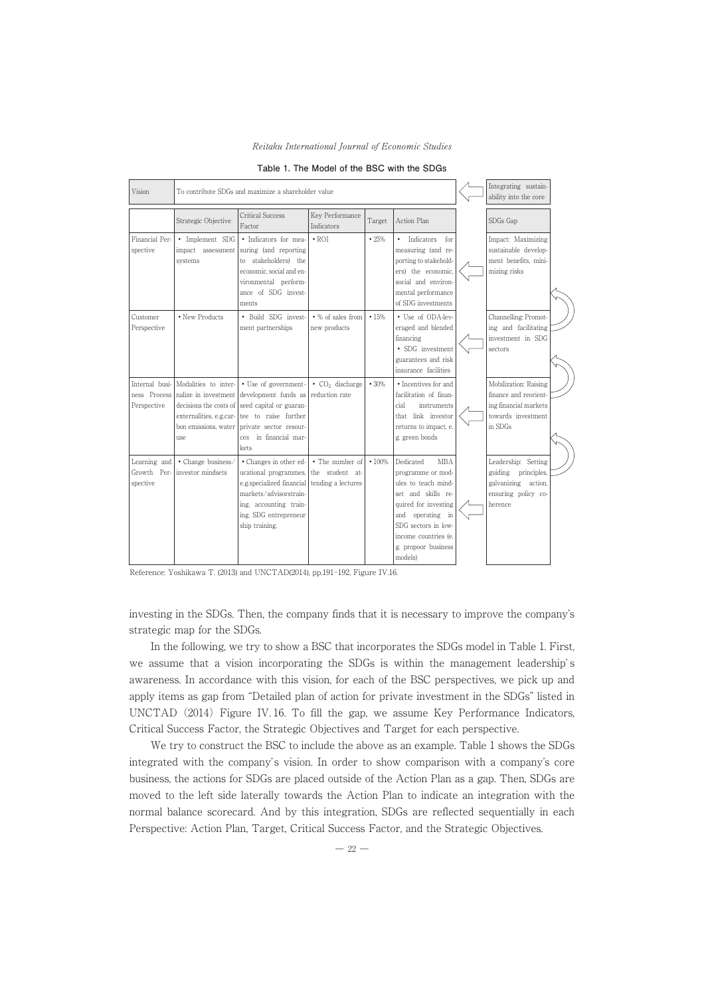

| Vision                                        | To contribute SDGs and maximize a shareholder value                                                                               |                                                                                                                                                                             |                                                          |        |                                                                                                                                                                                                                           | Integrating sustain-<br>ability into the core                                                            |  |
|-----------------------------------------------|-----------------------------------------------------------------------------------------------------------------------------------|-----------------------------------------------------------------------------------------------------------------------------------------------------------------------------|----------------------------------------------------------|--------|---------------------------------------------------------------------------------------------------------------------------------------------------------------------------------------------------------------------------|----------------------------------------------------------------------------------------------------------|--|
|                                               | Strategic Objective                                                                                                               | Critical Success<br>Factor                                                                                                                                                  | Key Performance<br><b>Indicators</b>                     | Target | Action Plan                                                                                                                                                                                                               | SDGs Gap                                                                                                 |  |
| Financial Per-<br>spective                    | • Implement SDG<br>impact assessment<br>systems                                                                                   | · Indicators for mea-<br>suring (and reporting<br>to stakeholders) the<br>economic, social and en-<br>vironmental perform-<br>ance of SDG invest-<br>ments                  | $\cdot$ ROI                                              | •25%   | Indicators<br>$\bullet$<br>for<br>measuring (and re-<br>porting to stakehold-<br>ers) the economic.<br>social and environ-<br>mental performance<br>of SDG investments                                                    | Impact: Maximizing<br>sustainable develop-<br>ment benefits, mini-<br>mizing risks                       |  |
| Customer<br>Perspective                       | • New Products                                                                                                                    | • Build SDG invest-<br>ment partnerships                                                                                                                                    | • % of sales from<br>new products                        | •15%   | • Use of ODA-lev-<br>eraged and blended<br>financing<br>• SDG investment<br>guarantees and risk<br>insurance facilities                                                                                                   | Channelling: Promot-<br>ing and facilitating<br>investment in SDG<br>sectors                             |  |
| Internal busi-<br>ness Process<br>Perspective | Modalities to inter-<br>nalize in investment<br>decisions the costs of<br>externalities, e.g.car-<br>bon emissions, water<br>11Se | • Use of government-<br>development funds as<br>seed capital or guaran-<br>tee to raise further<br>private sector resour-<br>in financial mar-<br>ces<br>kets               | $\bullet$ CO <sub>2</sub> discharge<br>reduction rate    | •30%   | • Incentives for and<br>facilitation of finan-<br>cial<br>instruments<br>link investor<br>that<br>returns to impact, e.<br>g. green bonds                                                                                 | Mobilization: Raising<br>finance and reorient-<br>ing financial markets<br>towards investment<br>in SDGs |  |
| Learning and<br>Growth Per-<br>spective       | · Change business/<br>investor mindsets                                                                                           | • Changes in other ed-<br>ucational programmes,<br>e.g.specialized financial<br>markets/advisorstrain-<br>ing, accounting train-<br>ing, SDG entrepreneur<br>ship training. | • The number of<br>the student at-<br>tending a lectures | •100%  | Dedicated<br><b>MBA</b><br>programme or mod-<br>ules to teach mind-<br>set and skills re-<br>quired for investing<br>operating in<br>and<br>SDG sectors in low-<br>income countries (e.<br>g. propoor business<br>models) | Leadership: Setting<br>guiding principles,<br>galvanizing action,<br>ensuring policy co-<br>herence      |  |

**Table 1. The Model of the BSCwith the SDGs**

Reference: Yoshikawa T. (2013) and UNCTAD(2014), pp.191-192, Figure IV.16.

investing in the SDGs. Then, the company finds that it is necessary to improve the company's strategic map for the SDGs.

In the following, we try to show a BSC that incorporates the SDGs model in Table 1. First, we assume that a vision incorporating the SDGs is within the management leadership's awareness. In accordance with this vision, for each of the BSC perspectives, we pick up and apply items as gap from "Detailed plan of action for private investment in the SDGs" listed in UNCTAD  $(2014)$  Figure IV. 16. To fill the gap, we assume Key Performance Indicators, Critical Success Factor, the Strategic Objectives and Target for each perspective.

We try to construct the BSC to include the above as an example. Table 1 shows the SDGs integrated with the company's vision. In order to show comparison with a company's core business, the actions for SDGs are placed outside of the Action Plan as a gap. Then, SDGs are moved to the left side laterally towards the Action Plan to indicate an integration with the normal balance scorecard. And by this integration, SDGs are reflected sequentially in each Perspective: Action Plan, Target, Critical Success Factor, and the Strategic Objectives.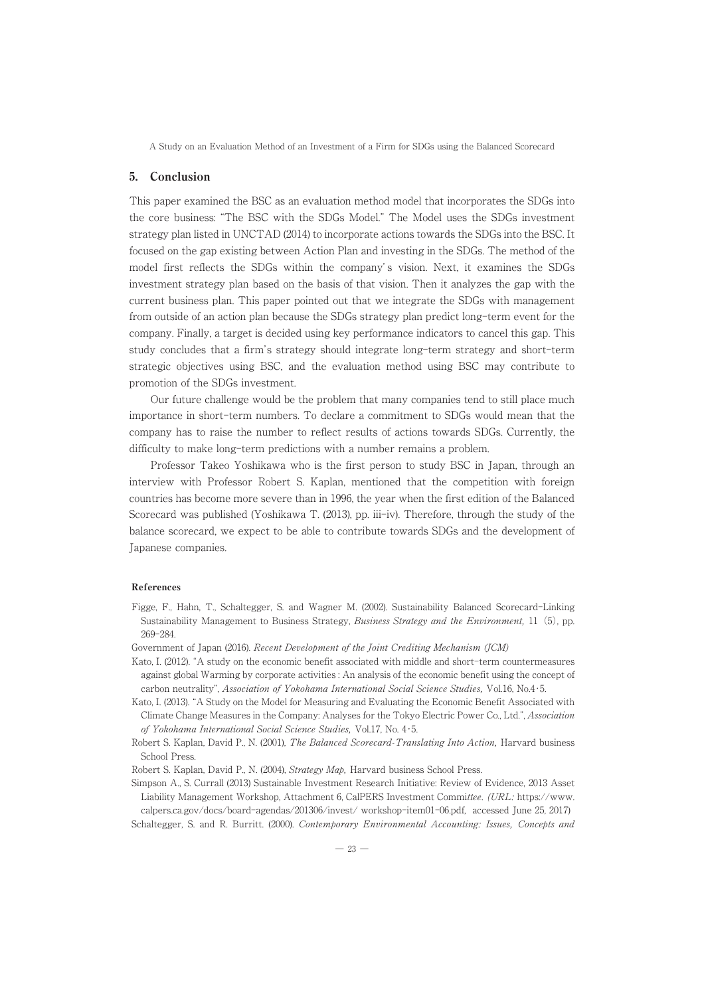## 5. Conclusion

This paper examined the BSC as an evaluation method model that incorporates the SDGs into the core business: "The BSC with the SDGs Model." The Model uses the SDGs investment strategy plan listed in UNCTAD (2014) to incorporate actions towards the SDGs into the BSC. It focused on the gap existing between Action Plan and investing in the SDGs. The method of the model first reflects the SDGs within the company's vision. Next, it examines the SDGs investment strategy plan based on the basis of that vision. Then it analyzes the gap with the current business plan. This paper pointed out that we integrate the SDGs with management from outside of an action plan because the SDGs strategy plan predict long-term event for the company. Finally, a target is decided using key performance indicators to cancel this gap. This study concludes that a firm's strategy should integrate long-term strategy and short-term strategic objectives using BSC, and the evaluation method using BSC may contribute to promotion of the SDGs investment.

Our future challenge would be the problem that many companies tend to still place much importance in short-term numbers. To declare a commitment to SDGs would mean that the company has to raise the number to reflect results of actions towards SDGs. Currently, the difficulty to make long-term predictions with a number remains a problem.

Professor Takeo Yoshikawa who is the first person to study BSC in Japan, through an interview with Professor Robert S. Kaplan, mentioned that the competition with foreign countries has become more severe than in 1996, the year when the first edition of the Balanced Scorecard was published (Yoshikawa T. (2013), pp. iii-iv). Therefore, through the study of the balance scorecard, we expect to be able to contribute towards SDGs and the development of Japanese companies.

## References

- Figge, F., Hahn, T., Schaltegger, S. and Wagner M. (2002). Sustainability Balanced Scorecard-Linking Sustainability Management to Business Strategy, Business Strategy and the Environment, 11 (5), pp. 269-284.
- Government of Japan (2016). Recent Development of the Joint Crediting Mechanism (JCM)
- Kato, I. (2012). "A study on the economic benefit associated with middle and short-term countermeasures against global Warming by corporate activities : An analysis of the economic benefit using the concept of carbon neutrality", Association of Yokohama International Social Science Studies, Vol.16, No.4・5.
- Kato, I. (2013). "A Study on the Model for Measuring and Evaluating the Economic Benefit Associated with Climate Change Measures in the Company: Analyses for the Tokyo Electric Power Co., Ltd.", Association of Yokohama International Social Science Studies, Vol.17, No. 4・5.
- Robert S. Kaplan, David P., N. (2001), The Balanced Scorecard-Translating Into Action, Harvard business School Press.
- Robert S. Kaplan, David P., N. (2004), Strategy Map, Harvard business School Press.
- Simpson A., S. Currall (2013) Sustainable Investment Research Initiative: Review of Evidence, 2013 Asset Liability Management Workshop, Attachment 6, CalPERS Investment Committee. (URL: https://www. calpers.ca.gov/docs/board-agendas/201306/invest/ workshop-item01-06.pdf, accessed June 25, 2017)

Schaltegger, S. and R. Burritt. (2000). Contemporary Environmental Accounting: Issues, Concepts and